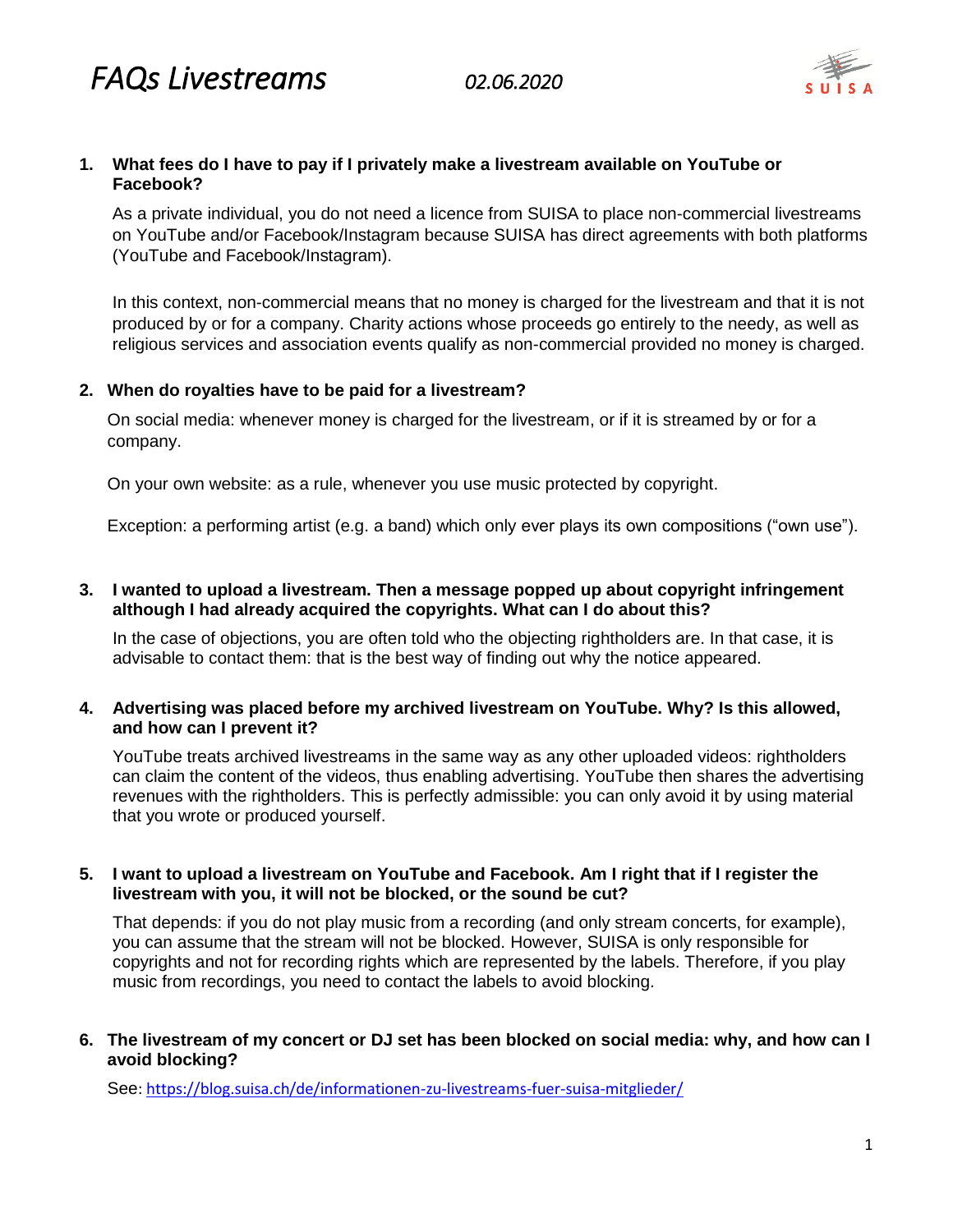

## **1. What fees do I have to pay if I privately make a livestream available on YouTube or Facebook?**

As a private individual, you do not need a licence from SUISA to place non-commercial livestreams on YouTube and/or Facebook/Instagram because SUISA has direct agreements with both platforms (YouTube and Facebook/Instagram).

In this context, non-commercial means that no money is charged for the livestream and that it is not produced by or for a company. Charity actions whose proceeds go entirely to the needy, as well as religious services and association events qualify as non-commercial provided no money is charged.

# **2. When do royalties have to be paid for a livestream?**

On social media: whenever money is charged for the livestream, or if it is streamed by or for a company.

On your own website: as a rule, whenever you use music protected by copyright.

Exception: a performing artist (e.g. a band) which only ever plays its own compositions ("own use").

## **3. I wanted to upload a livestream. Then a message popped up about copyright infringement although I had already acquired the copyrights. What can I do about this?**

In the case of objections, you are often told who the objecting rightholders are. In that case, it is advisable to contact them: that is the best way of finding out why the notice appeared.

# **4. Advertising was placed before my archived livestream on YouTube. Why? Is this allowed, and how can I prevent it?**

YouTube treats archived livestreams in the same way as any other uploaded videos: rightholders can claim the content of the videos, thus enabling advertising. YouTube then shares the advertising revenues with the rightholders. This is perfectly admissible: you can only avoid it by using material that you wrote or produced yourself.

## **5. I want to upload a livestream on YouTube and Facebook. Am I right that if I register the livestream with you, it will not be blocked, or the sound be cut?**

That depends: if you do not play music from a recording (and only stream concerts, for example), you can assume that the stream will not be blocked. However, SUISA is only responsible for copyrights and not for recording rights which are represented by the labels. Therefore, if you play music from recordings, you need to contact the labels to avoid blocking.

# **6. The livestream of my concert or DJ set has been blocked on social media: why, and how can I avoid blocking?**

See:<https://blog.suisa.ch/de/informationen-zu-livestreams-fuer-suisa-mitglieder/>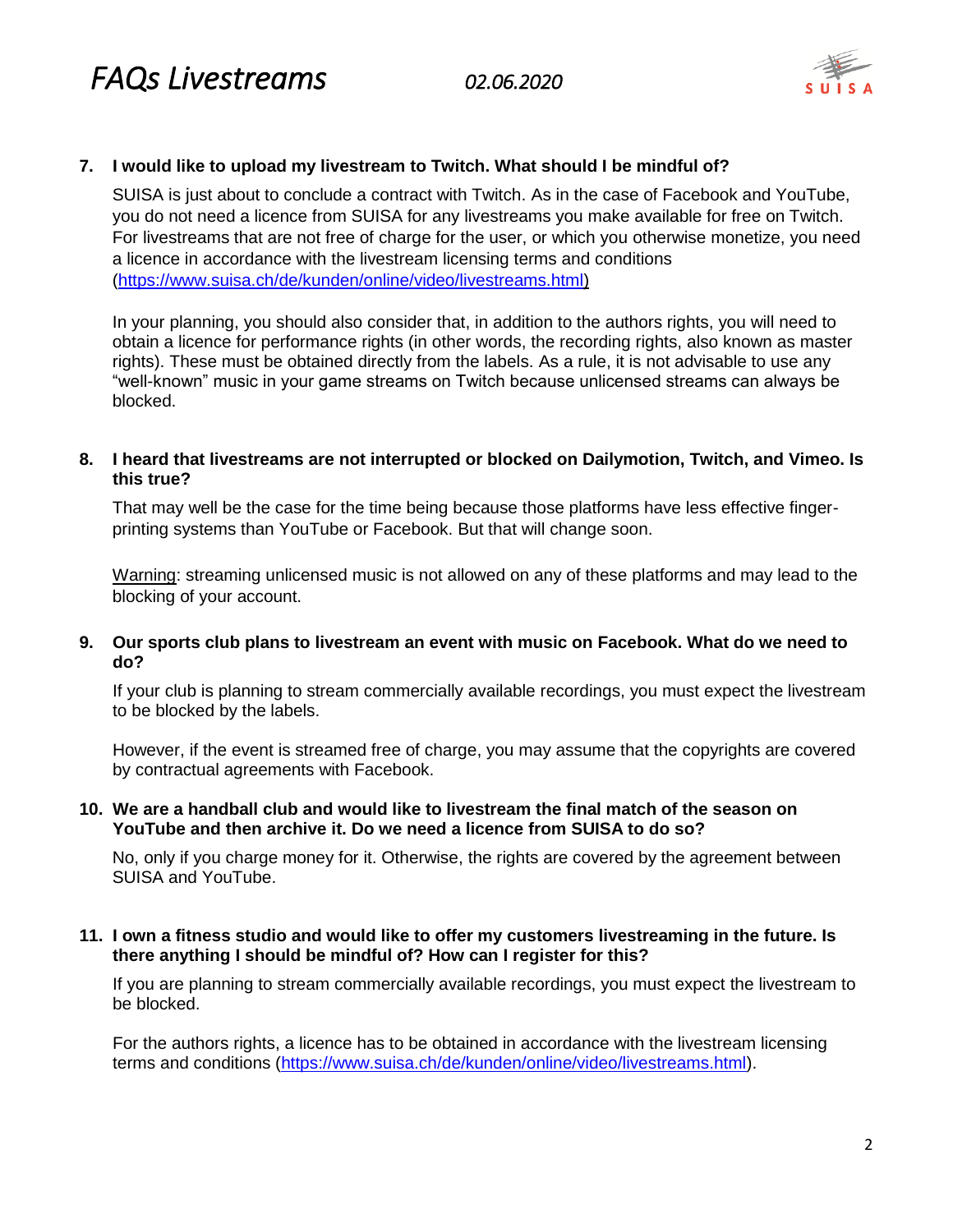

## **7. I would like to upload my livestream to Twitch. What should I be mindful of?**

SUISA is just about to conclude a contract with Twitch. As in the case of Facebook and YouTube, you do not need a licence from SUISA for any livestreams you make available for free on Twitch. For livestreams that are not free of charge for the user, or which you otherwise monetize, you need a licence in accordance with the livestream licensing terms and conditions [\(https://www.suisa.ch/de/kunden/online/video/livestreams.html\)](https://www.suisa.ch/de/kunden/online/video/livestreams.html)

In your planning, you should also consider that, in addition to the authors rights, you will need to obtain a licence for performance rights (in other words, the recording rights, also known as master rights). These must be obtained directly from the labels. As a rule, it is not advisable to use any "well-known" music in your game streams on Twitch because unlicensed streams can always be blocked.

#### **8. I heard that livestreams are not interrupted or blocked on Dailymotion, Twitch, and Vimeo. Is this true?**

That may well be the case for the time being because those platforms have less effective fingerprinting systems than YouTube or Facebook. But that will change soon.

Warning: streaming unlicensed music is not allowed on any of these platforms and may lead to the blocking of your account.

## **9. Our sports club plans to livestream an event with music on Facebook. What do we need to do?**

If your club is planning to stream commercially available recordings, you must expect the livestream to be blocked by the labels.

However, if the event is streamed free of charge, you may assume that the copyrights are covered by contractual agreements with Facebook.

## **10. We are a handball club and would like to livestream the final match of the season on YouTube and then archive it. Do we need a licence from SUISA to do so?**

No, only if you charge money for it. Otherwise, the rights are covered by the agreement between SUISA and YouTube.

## **11. I own a fitness studio and would like to offer my customers livestreaming in the future. Is there anything I should be mindful of? How can I register for this?**

If you are planning to stream commercially available recordings, you must expect the livestream to be blocked.

For the authors rights, a licence has to be obtained in accordance with the livestream licensing terms and conditions [\(https://www.suisa.ch/de/kunden/online/video/livestreams.html\)](https://www.suisa.ch/de/kunden/online/video/livestreams.html).